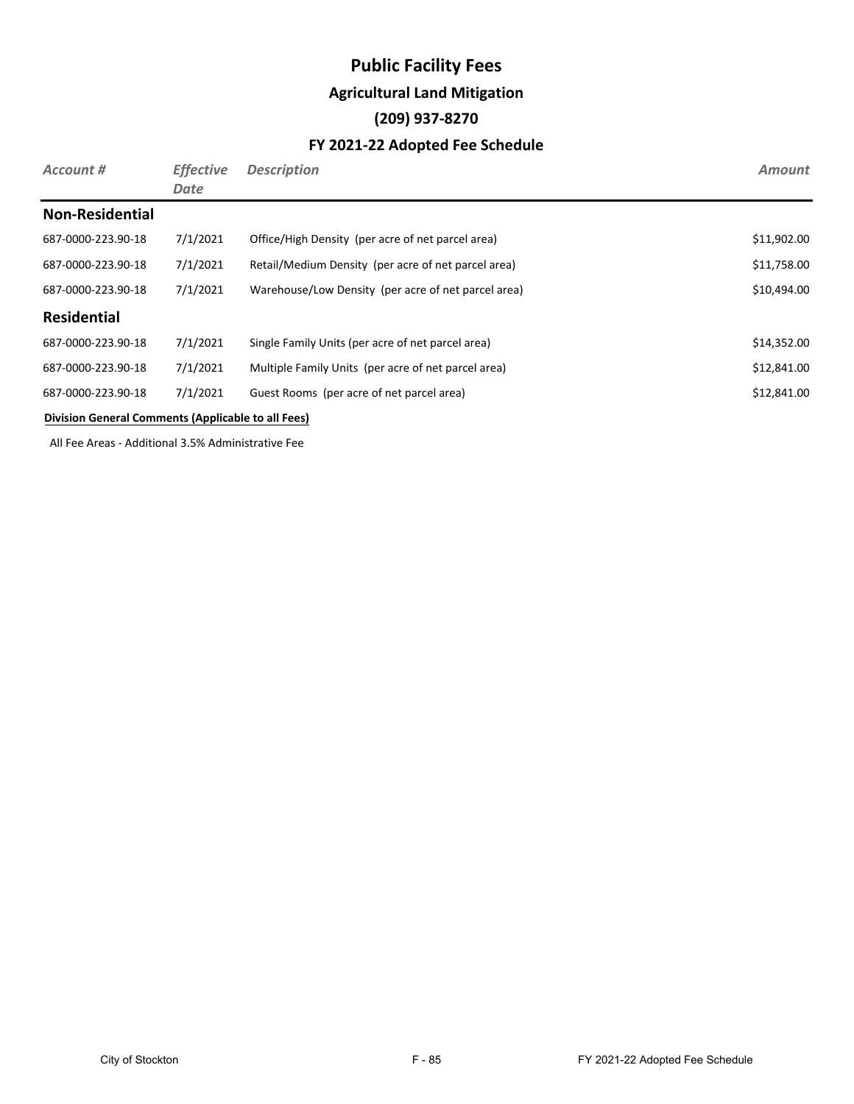## **Public Facility Fees Agricultural Land Mitigation (209) 937-8270 FY 2021-22 Adopted Fee Schedule**

| Account #              | <b>Effective</b><br>Date | <b>Description</b>                                  | <b>Amount</b> |
|------------------------|--------------------------|-----------------------------------------------------|---------------|
| <b>Non-Residential</b> |                          |                                                     |               |
| 687-0000-223.90-18     | 7/1/2021                 | Office/High Density (per acre of net parcel area)   | \$11,902.00   |
| 687-0000-223.90-18     | 7/1/2021                 | Retail/Medium Density (per acre of net parcel area) | \$11,758.00   |
| 687-0000-223.90-18     | 7/1/2021                 | Warehouse/Low Density (per acre of net parcel area) | \$10,494.00   |
| <b>Residential</b>     |                          |                                                     |               |
| 687-0000-223.90-18     | 7/1/2021                 | Single Family Units (per acre of net parcel area)   | \$14,352.00   |
| 687-0000-223.90-18     | 7/1/2021                 | Multiple Family Units (per acre of net parcel area) | \$12,841.00   |
| 687-0000-223.90-18     | 7/1/2021                 | Guest Rooms (per acre of net parcel area)           | \$12,841.00   |
|                        |                          |                                                     |               |

#### **Division General Comments (Applicable to all Fees)**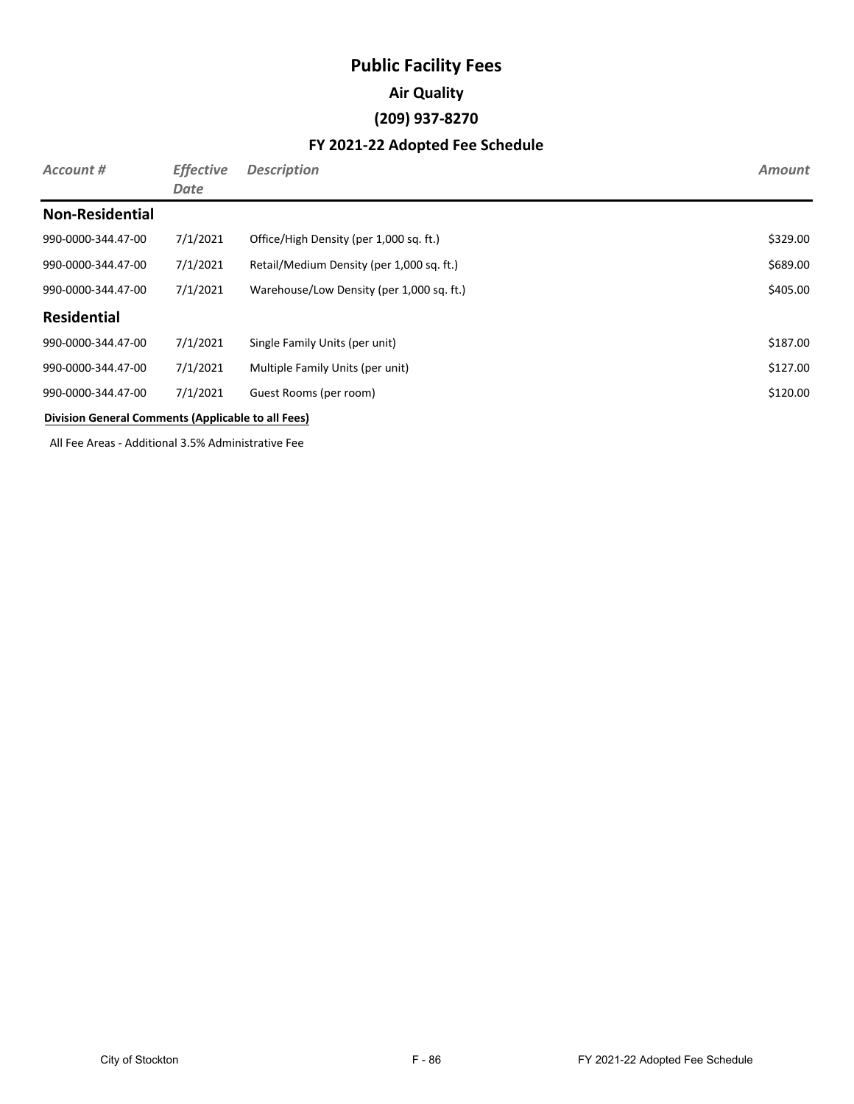# **Public Facility Fees Air Quality (209) 937-8270**

| Account #                                          | <b>Effective</b><br>Date | <b>Description</b>                        | <b>Amount</b> |
|----------------------------------------------------|--------------------------|-------------------------------------------|---------------|
| <b>Non-Residential</b>                             |                          |                                           |               |
| 990-0000-344.47-00                                 | 7/1/2021                 | Office/High Density (per 1,000 sq. ft.)   | \$329.00      |
| 990-0000-344.47-00                                 | 7/1/2021                 | Retail/Medium Density (per 1,000 sq. ft.) | \$689.00      |
| 990-0000-344.47-00                                 | 7/1/2021                 | Warehouse/Low Density (per 1,000 sq. ft.) | \$405.00      |
| <b>Residential</b>                                 |                          |                                           |               |
| 990-0000-344.47-00                                 | 7/1/2021                 | Single Family Units (per unit)            | \$187.00      |
| 990-0000-344.47-00                                 | 7/1/2021                 | Multiple Family Units (per unit)          | \$127.00      |
| 990-0000-344.47-00                                 | 7/1/2021                 | Guest Rooms (per room)                    | \$120.00      |
| Division General Comments (Applicable to all Fees) |                          |                                           |               |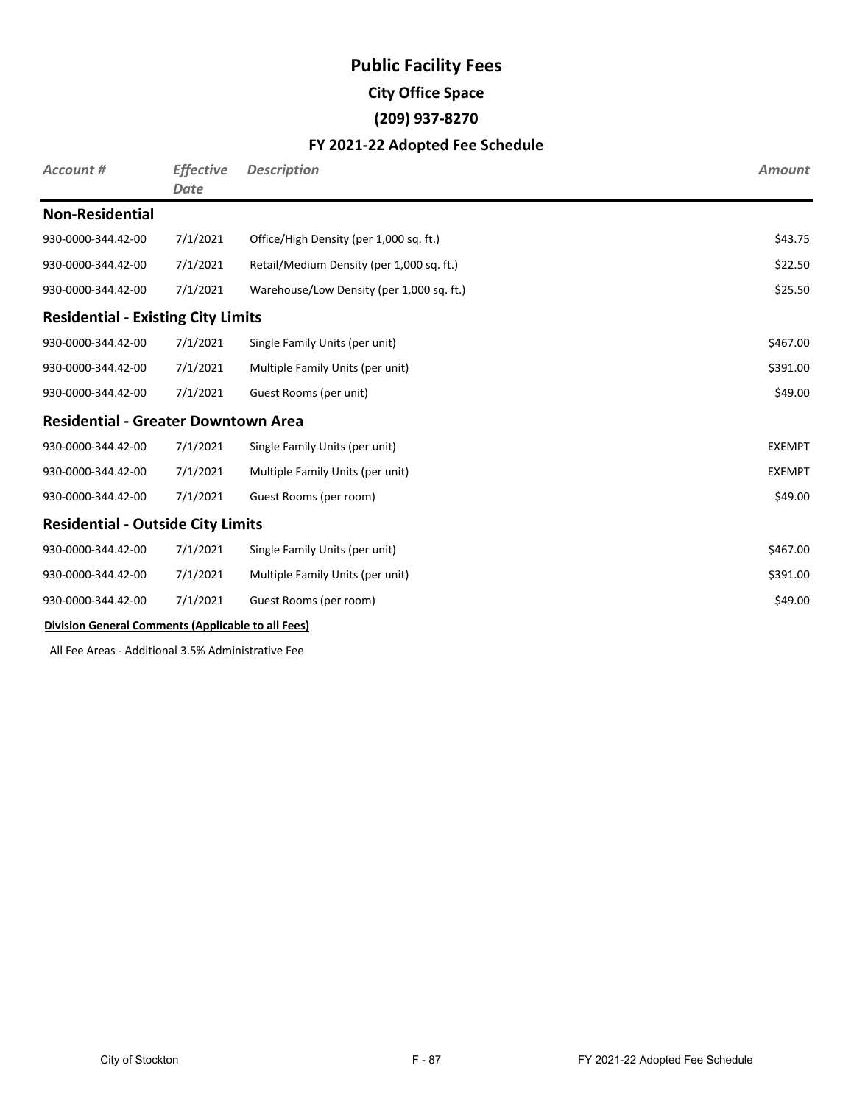## **Public Facility Fees City Office Space (209) 937-8270**

#### **FY 2021-22 Adopted Fee Schedule**

| <b>Account #</b>                                   | <b>Effective</b><br>Date | <b>Description</b>                        | <b>Amount</b> |
|----------------------------------------------------|--------------------------|-------------------------------------------|---------------|
| <b>Non-Residential</b>                             |                          |                                           |               |
| 930-0000-344.42-00                                 | 7/1/2021                 | Office/High Density (per 1,000 sq. ft.)   | \$43.75       |
| 930-0000-344.42-00                                 | 7/1/2021                 | Retail/Medium Density (per 1,000 sq. ft.) | \$22.50       |
| 930-0000-344.42-00                                 | 7/1/2021                 | Warehouse/Low Density (per 1,000 sq. ft.) | \$25.50       |
| <b>Residential - Existing City Limits</b>          |                          |                                           |               |
| 930-0000-344.42-00                                 | 7/1/2021                 | Single Family Units (per unit)            | \$467.00      |
| 930-0000-344.42-00                                 | 7/1/2021                 | Multiple Family Units (per unit)          | \$391.00      |
| 930-0000-344.42-00                                 | 7/1/2021                 | Guest Rooms (per unit)                    | \$49.00       |
| <b>Residential - Greater Downtown Area</b>         |                          |                                           |               |
| 930-0000-344.42-00                                 | 7/1/2021                 | Single Family Units (per unit)            | <b>EXEMPT</b> |
| 930-0000-344.42-00                                 | 7/1/2021                 | Multiple Family Units (per unit)          | <b>EXEMPT</b> |
| 930-0000-344.42-00                                 | 7/1/2021                 | Guest Rooms (per room)                    | \$49.00       |
| <b>Residential - Outside City Limits</b>           |                          |                                           |               |
| 930-0000-344.42-00                                 | 7/1/2021                 | Single Family Units (per unit)            | \$467.00      |
| 930-0000-344.42-00                                 | 7/1/2021                 | Multiple Family Units (per unit)          | \$391.00      |
| 930-0000-344.42-00                                 | 7/1/2021                 | Guest Rooms (per room)                    | \$49.00       |
| Division General Comments (Applicable to all Fees) |                          |                                           |               |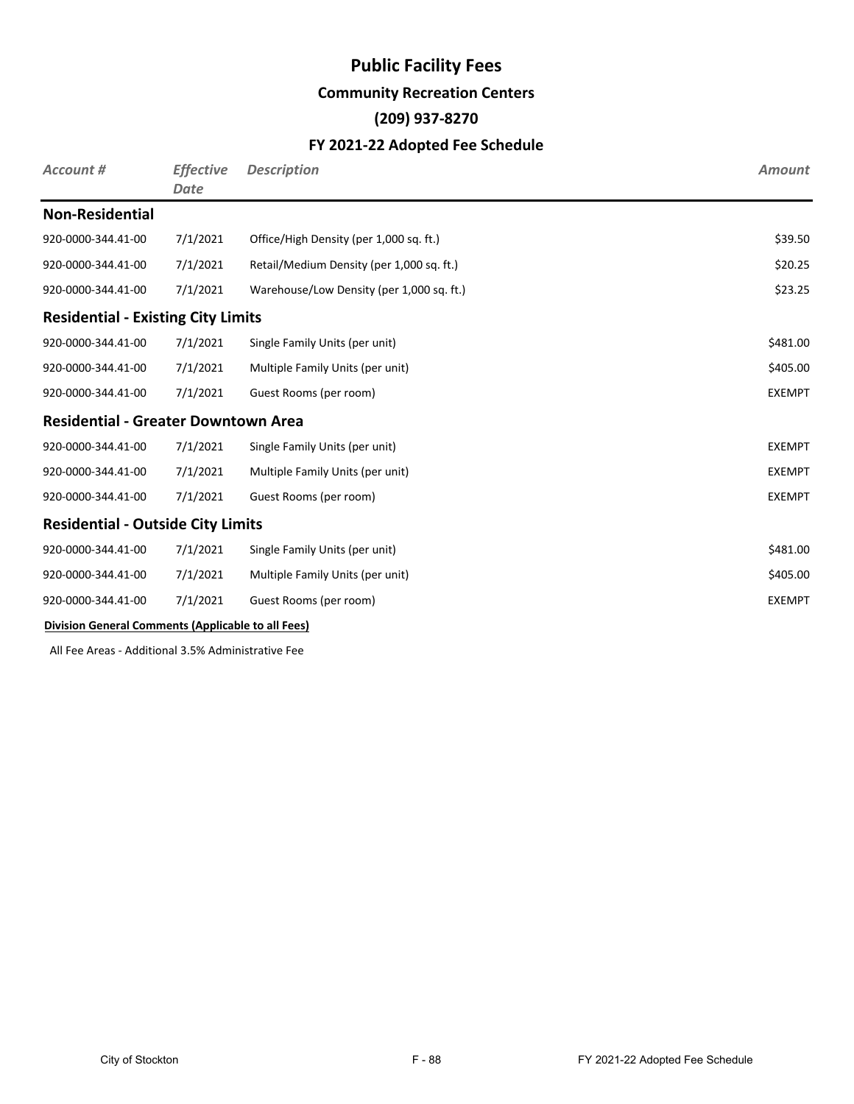#### **Community Recreation Centers**

### **(209) 937-8270**

#### **FY 2021-22 Adopted Fee Schedule**

| Account #                                          | <b>Effective</b><br><b>Date</b> | <b>Description</b>                        | <b>Amount</b> |
|----------------------------------------------------|---------------------------------|-------------------------------------------|---------------|
| <b>Non-Residential</b>                             |                                 |                                           |               |
| 920-0000-344.41-00                                 | 7/1/2021                        | Office/High Density (per 1,000 sq. ft.)   | \$39.50       |
| 920-0000-344.41-00                                 | 7/1/2021                        | Retail/Medium Density (per 1,000 sq. ft.) | \$20.25       |
| 920-0000-344.41-00                                 | 7/1/2021                        | Warehouse/Low Density (per 1,000 sq. ft.) | \$23.25       |
| <b>Residential - Existing City Limits</b>          |                                 |                                           |               |
| 920-0000-344.41-00                                 | 7/1/2021                        | Single Family Units (per unit)            | \$481.00      |
| 920-0000-344.41-00                                 | 7/1/2021                        | Multiple Family Units (per unit)          | \$405.00      |
| 920-0000-344.41-00                                 | 7/1/2021                        | Guest Rooms (per room)                    | <b>EXEMPT</b> |
| <b>Residential - Greater Downtown Area</b>         |                                 |                                           |               |
| 920-0000-344.41-00                                 | 7/1/2021                        | Single Family Units (per unit)            | <b>EXEMPT</b> |
| 920-0000-344.41-00                                 | 7/1/2021                        | Multiple Family Units (per unit)          | <b>EXEMPT</b> |
| 920-0000-344.41-00                                 | 7/1/2021                        | Guest Rooms (per room)                    | <b>EXEMPT</b> |
| <b>Residential - Outside City Limits</b>           |                                 |                                           |               |
| 920-0000-344.41-00                                 | 7/1/2021                        | Single Family Units (per unit)            | \$481.00      |
| 920-0000-344.41-00                                 | 7/1/2021                        | Multiple Family Units (per unit)          | \$405.00      |
| 920-0000-344.41-00                                 | 7/1/2021                        | Guest Rooms (per room)                    | <b>EXEMPT</b> |
| Division General Comments (Applicable to all Fees) |                                 |                                           |               |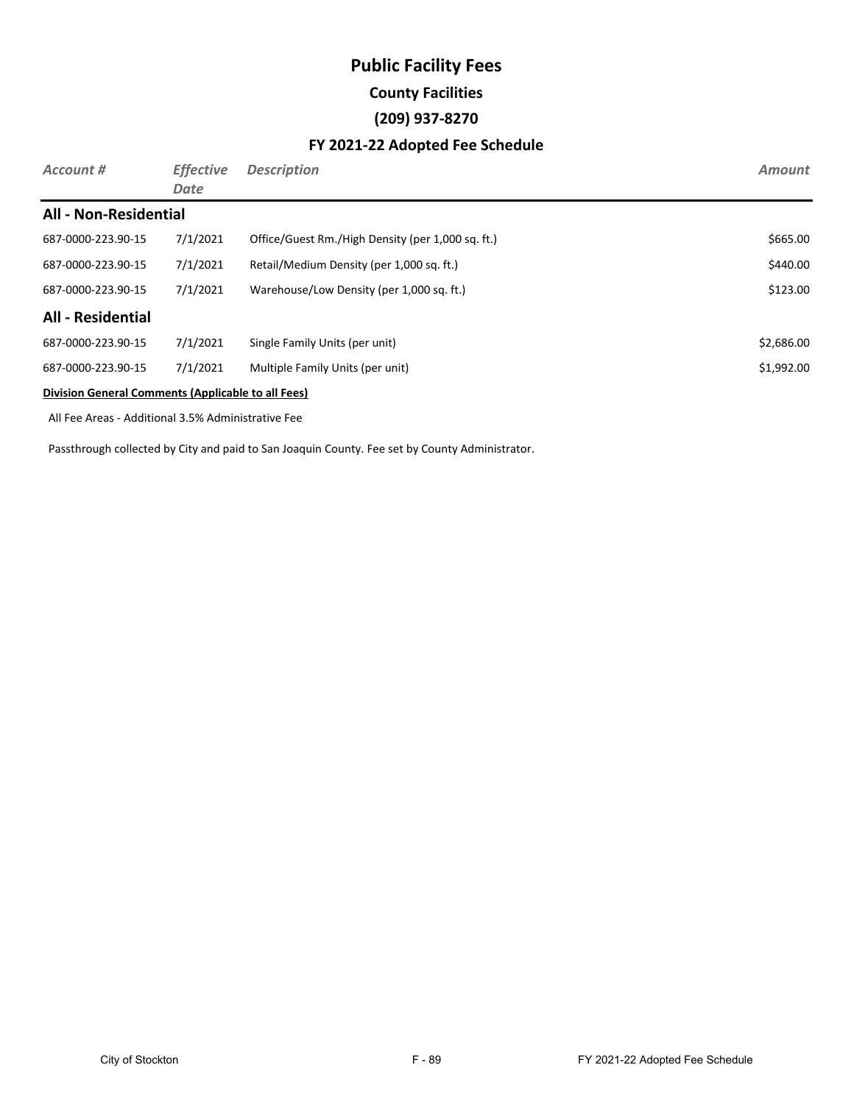## **Public Facility Fees County Facilities (209) 937-8270**

#### **FY 2021-22 Adopted Fee Schedule**

| Account #                                          | <b>Effective</b><br>Date | <b>Description</b>                                | <b>Amount</b> |
|----------------------------------------------------|--------------------------|---------------------------------------------------|---------------|
| <b>All - Non-Residential</b>                       |                          |                                                   |               |
| 687-0000-223.90-15                                 | 7/1/2021                 | Office/Guest Rm./High Density (per 1,000 sq. ft.) | \$665.00      |
| 687-0000-223.90-15                                 | 7/1/2021                 | Retail/Medium Density (per 1,000 sq. ft.)         | \$440.00      |
| 687-0000-223.90-15                                 | 7/1/2021                 | Warehouse/Low Density (per 1,000 sq. ft.)         | \$123.00      |
| <b>All - Residential</b>                           |                          |                                                   |               |
| 687-0000-223.90-15                                 | 7/1/2021                 | Single Family Units (per unit)                    | \$2,686.00    |
| 687-0000-223.90-15                                 | 7/1/2021                 | Multiple Family Units (per unit)                  | \$1,992.00    |
| Division General Comments (Applicable to all Fees) |                          |                                                   |               |

All Fee Areas - Additional 3.5% Administrative Fee

Passthrough collected by City and paid to San Joaquin County. Fee set by County Administrator.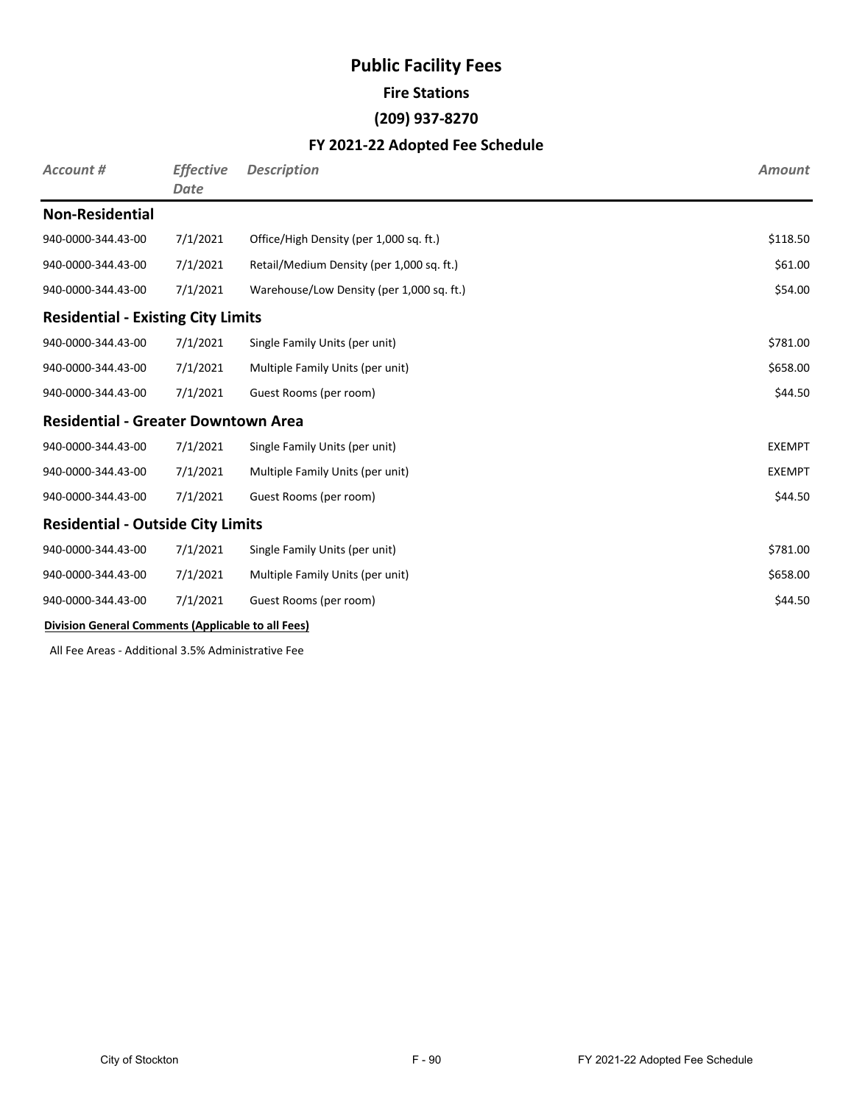# **Public Facility Fees Fire Stations (209) 937-8270**

#### **FY 2021-22 Adopted Fee Schedule**

| <b>Account #</b>                                   | <b>Effective</b><br><b>Date</b> | <b>Description</b>                        | <b>Amount</b> |
|----------------------------------------------------|---------------------------------|-------------------------------------------|---------------|
| <b>Non-Residential</b>                             |                                 |                                           |               |
| 940-0000-344.43-00                                 | 7/1/2021                        | Office/High Density (per 1,000 sq. ft.)   | \$118.50      |
| 940-0000-344.43-00                                 | 7/1/2021                        | Retail/Medium Density (per 1,000 sq. ft.) | \$61.00       |
| 940-0000-344.43-00                                 | 7/1/2021                        | Warehouse/Low Density (per 1,000 sq. ft.) | \$54.00       |
| <b>Residential - Existing City Limits</b>          |                                 |                                           |               |
| 940-0000-344.43-00                                 | 7/1/2021                        | Single Family Units (per unit)            | \$781.00      |
| 940-0000-344.43-00                                 | 7/1/2021                        | Multiple Family Units (per unit)          | \$658.00      |
| 940-0000-344.43-00                                 | 7/1/2021                        | Guest Rooms (per room)                    | \$44.50       |
| <b>Residential - Greater Downtown Area</b>         |                                 |                                           |               |
| 940-0000-344.43-00                                 | 7/1/2021                        | Single Family Units (per unit)            | <b>EXEMPT</b> |
| 940-0000-344.43-00                                 | 7/1/2021                        | Multiple Family Units (per unit)          | <b>EXEMPT</b> |
| 940-0000-344.43-00                                 | 7/1/2021                        | Guest Rooms (per room)                    | \$44.50       |
| <b>Residential - Outside City Limits</b>           |                                 |                                           |               |
| 940-0000-344.43-00                                 | 7/1/2021                        | Single Family Units (per unit)            | \$781.00      |
| 940-0000-344.43-00                                 | 7/1/2021                        | Multiple Family Units (per unit)          | \$658.00      |
| 940-0000-344.43-00                                 | 7/1/2021                        | Guest Rooms (per room)                    | \$44.50       |
| Division General Comments (Applicable to all Fees) |                                 |                                           |               |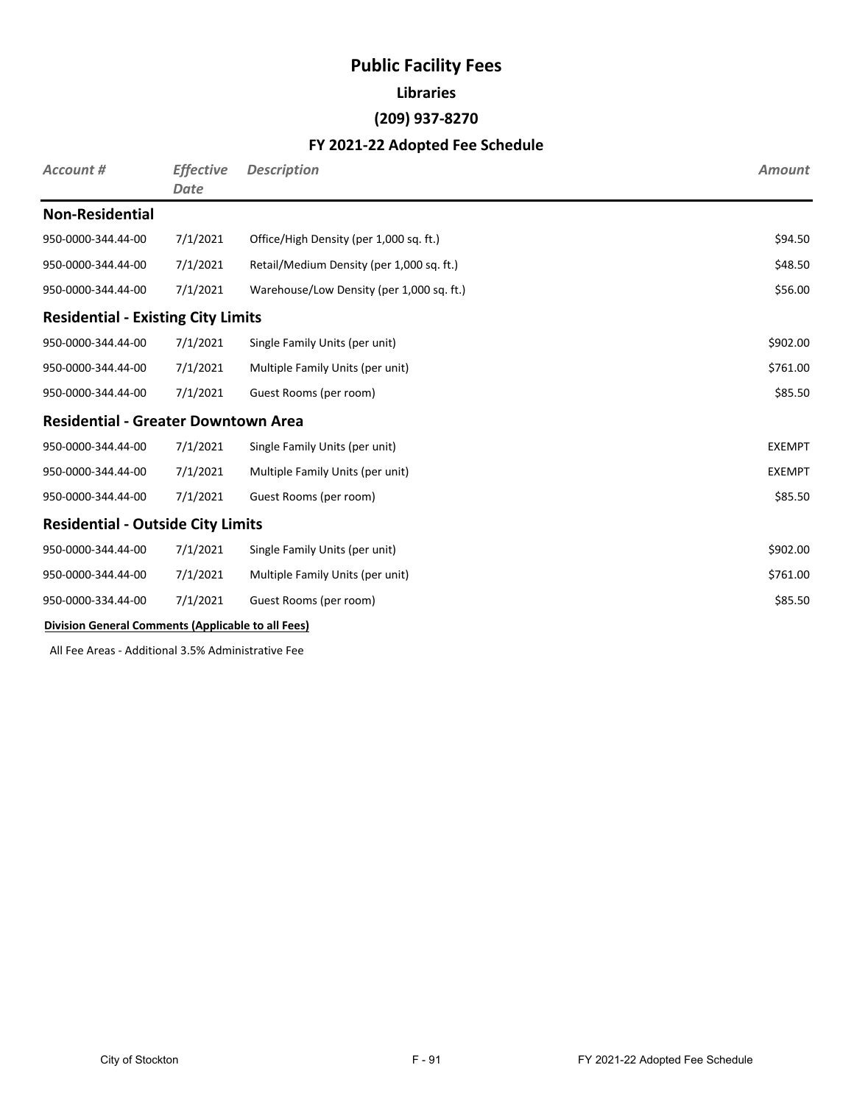### **Libraries**

### **(209) 937-8270**

#### **FY 2021-22 Adopted Fee Schedule**

| Account #                                          | <b>Effective</b><br><b>Date</b> | <b>Description</b>                        | <b>Amount</b> |
|----------------------------------------------------|---------------------------------|-------------------------------------------|---------------|
| <b>Non-Residential</b>                             |                                 |                                           |               |
| 950-0000-344.44-00                                 | 7/1/2021                        | Office/High Density (per 1,000 sq. ft.)   | \$94.50       |
| 950-0000-344.44-00                                 | 7/1/2021                        | Retail/Medium Density (per 1,000 sq. ft.) | \$48.50       |
| 950-0000-344.44-00                                 | 7/1/2021                        | Warehouse/Low Density (per 1,000 sq. ft.) | \$56.00       |
| <b>Residential - Existing City Limits</b>          |                                 |                                           |               |
| 950-0000-344.44-00                                 | 7/1/2021                        | Single Family Units (per unit)            | \$902.00      |
| 950-0000-344.44-00                                 | 7/1/2021                        | Multiple Family Units (per unit)          | \$761.00      |
| 950-0000-344.44-00                                 | 7/1/2021                        | Guest Rooms (per room)                    | \$85.50       |
| <b>Residential - Greater Downtown Area</b>         |                                 |                                           |               |
| 950-0000-344.44-00                                 | 7/1/2021                        | Single Family Units (per unit)            | <b>EXEMPT</b> |
| 950-0000-344.44-00                                 | 7/1/2021                        | Multiple Family Units (per unit)          | <b>EXEMPT</b> |
| 950-0000-344.44-00                                 | 7/1/2021                        | Guest Rooms (per room)                    | \$85.50       |
| <b>Residential - Outside City Limits</b>           |                                 |                                           |               |
| 950-0000-344.44-00                                 | 7/1/2021                        | Single Family Units (per unit)            | \$902.00      |
| 950-0000-344.44-00                                 | 7/1/2021                        | Multiple Family Units (per unit)          | \$761.00      |
| 950-0000-334.44-00                                 | 7/1/2021                        | Guest Rooms (per room)                    | \$85.50       |
| Division General Comments (Applicable to all Fees) |                                 |                                           |               |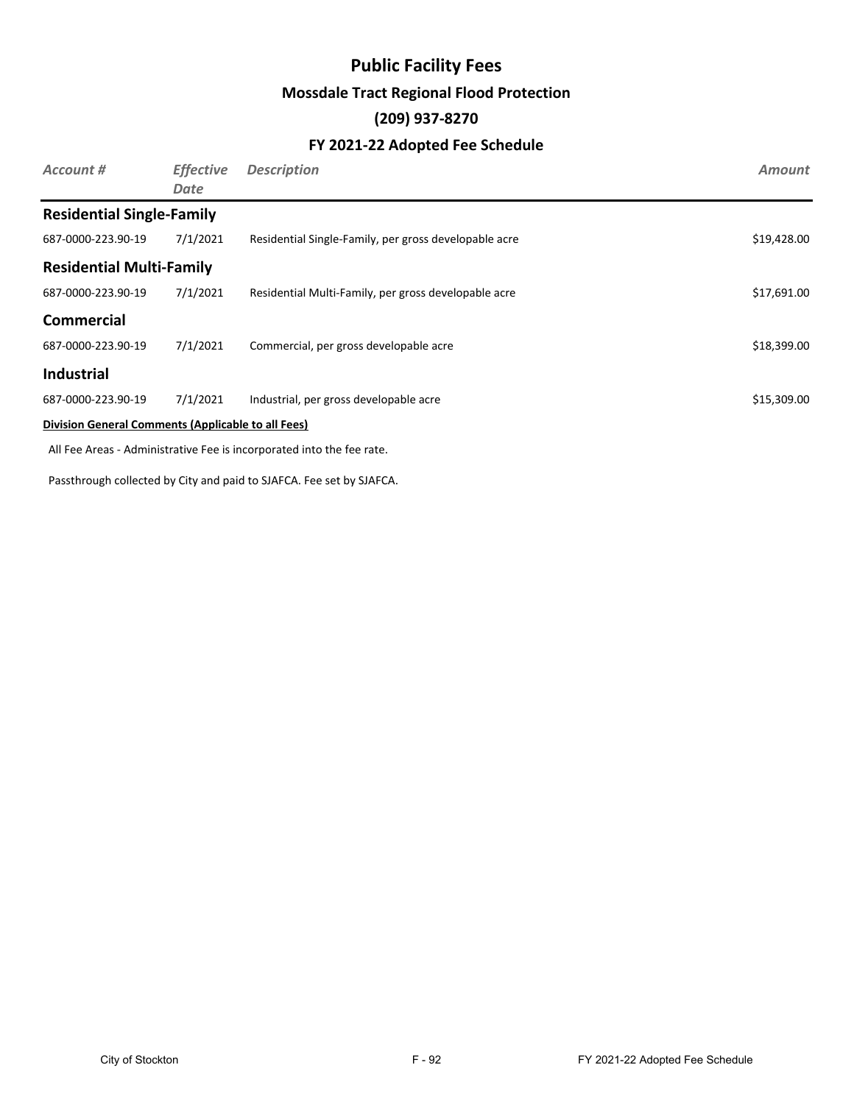## **Public Facility Fees Mossdale Tract Regional Flood Protection (209) 937-8270**

#### **FY 2021-22 Adopted Fee Schedule**

| Account #                                          | <b>Effective</b><br>Date | <b>Description</b>                                    | <b>Amount</b> |
|----------------------------------------------------|--------------------------|-------------------------------------------------------|---------------|
| <b>Residential Single-Family</b>                   |                          |                                                       |               |
| 687-0000-223.90-19                                 | 7/1/2021                 | Residential Single-Family, per gross developable acre | \$19,428.00   |
| <b>Residential Multi-Family</b>                    |                          |                                                       |               |
| 687-0000-223.90-19                                 | 7/1/2021                 | Residential Multi-Family, per gross developable acre  | \$17,691.00   |
| <b>Commercial</b>                                  |                          |                                                       |               |
| 687-0000-223.90-19                                 | 7/1/2021                 | Commercial, per gross developable acre                | \$18,399.00   |
| <b>Industrial</b>                                  |                          |                                                       |               |
| 687-0000-223.90-19                                 | 7/1/2021                 | Industrial, per gross developable acre                | \$15,309.00   |
| Division General Comments (Applicable to all Fees) |                          |                                                       |               |

All Fee Areas - Administrative Fee is incorporated into the fee rate.

Passthrough collected by City and paid to SJAFCA. Fee set by SJAFCA.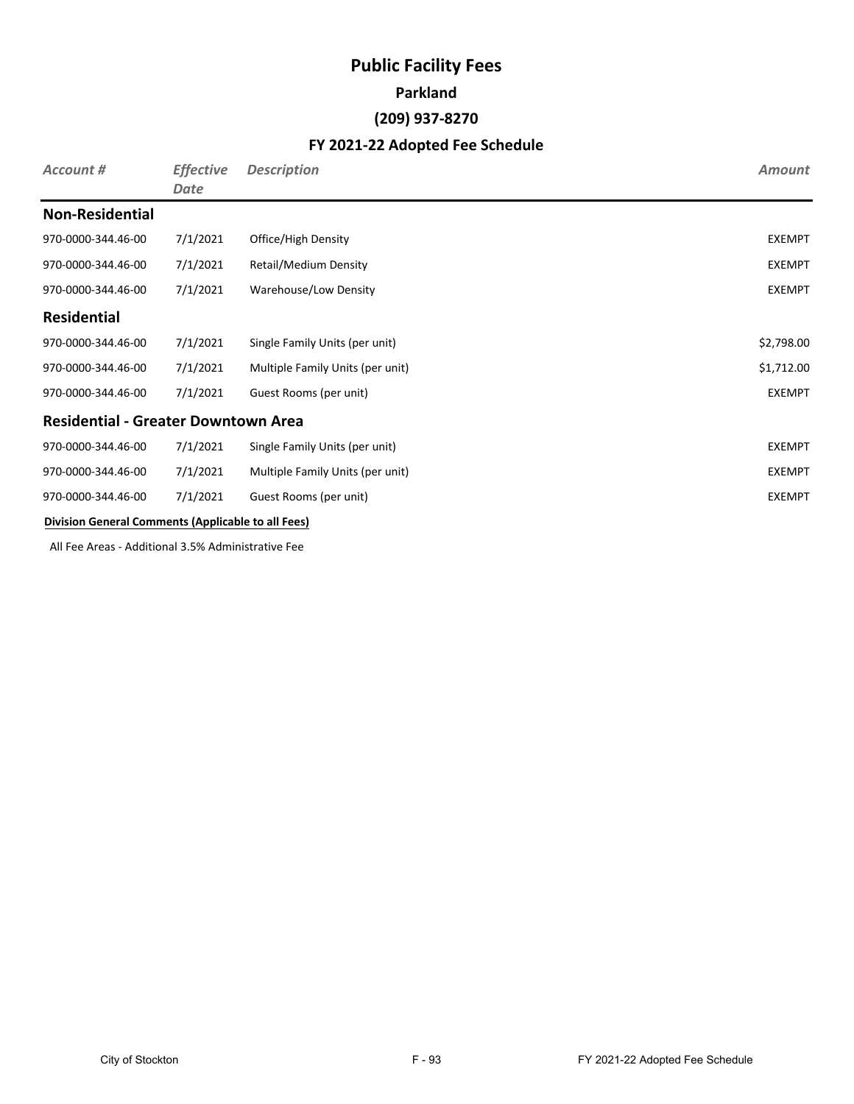# **Public Facility Fees Parkland (209) 937-8270**

### **FY 2021-22 Adopted Fee Schedule**

| Account #                                                 | <b>Effective</b><br>Date | <b>Description</b>               | <b>Amount</b> |
|-----------------------------------------------------------|--------------------------|----------------------------------|---------------|
| <b>Non-Residential</b>                                    |                          |                                  |               |
| 970-0000-344.46-00                                        | 7/1/2021                 | Office/High Density              | <b>EXEMPT</b> |
| 970-0000-344.46-00                                        | 7/1/2021                 | Retail/Medium Density            | <b>EXEMPT</b> |
| 970-0000-344.46-00                                        | 7/1/2021                 | Warehouse/Low Density            | <b>EXEMPT</b> |
| <b>Residential</b>                                        |                          |                                  |               |
| 970-0000-344.46-00                                        | 7/1/2021                 | Single Family Units (per unit)   | \$2,798.00    |
| 970-0000-344.46-00                                        | 7/1/2021                 | Multiple Family Units (per unit) | \$1,712.00    |
| 970-0000-344.46-00                                        | 7/1/2021                 | Guest Rooms (per unit)           | <b>EXEMPT</b> |
| <b>Residential - Greater Downtown Area</b>                |                          |                                  |               |
| 970-0000-344.46-00                                        | 7/1/2021                 | Single Family Units (per unit)   | <b>EXEMPT</b> |
| 970-0000-344.46-00                                        | 7/1/2021                 | Multiple Family Units (per unit) | <b>EXEMPT</b> |
| 970-0000-344.46-00                                        | 7/1/2021                 | Guest Rooms (per unit)           | <b>EXEMPT</b> |
| <b>Division General Comments (Applicable to all Fees)</b> |                          |                                  |               |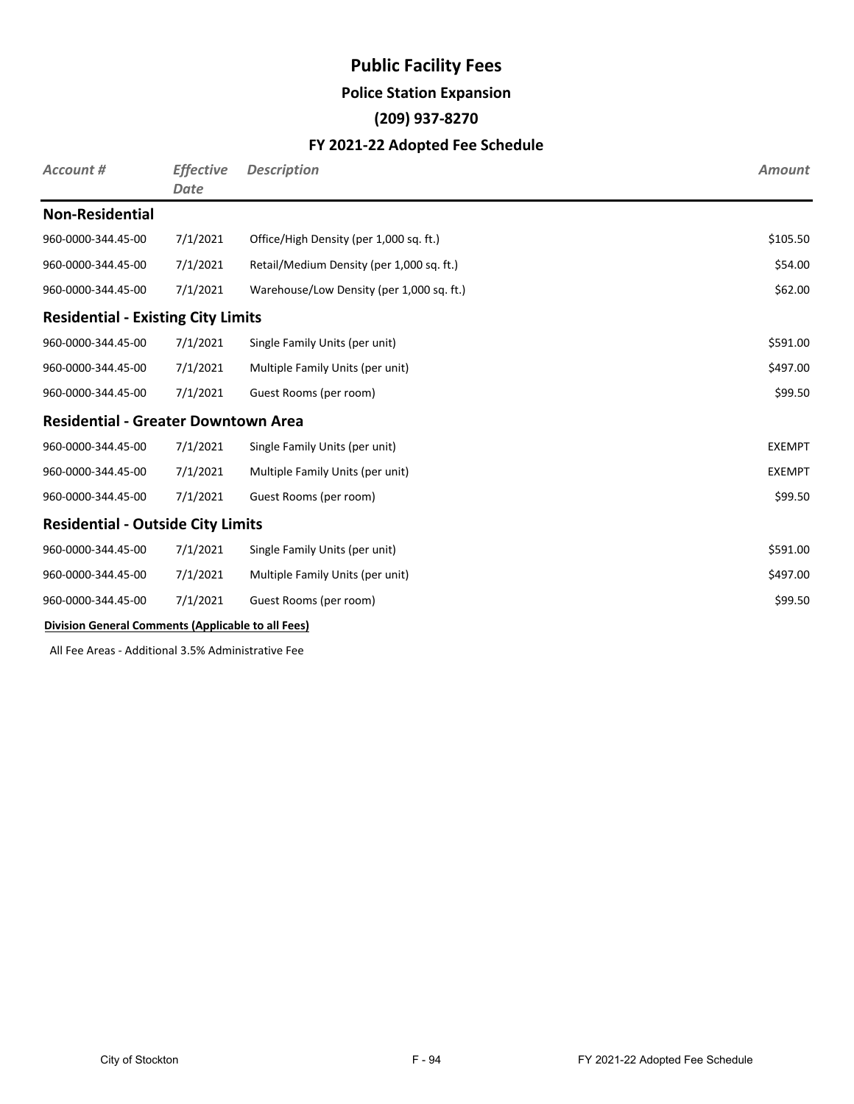#### **Police Station Expansion**

### **(209) 937-8270**

#### **FY 2021-22 Adopted Fee Schedule**

| <b>Account #</b>                                   | <b>Effective</b><br><b>Date</b> | <b>Description</b>                        | <b>Amount</b> |
|----------------------------------------------------|---------------------------------|-------------------------------------------|---------------|
| <b>Non-Residential</b>                             |                                 |                                           |               |
| 960-0000-344.45-00                                 | 7/1/2021                        | Office/High Density (per 1,000 sq. ft.)   | \$105.50      |
| 960-0000-344.45-00                                 | 7/1/2021                        | Retail/Medium Density (per 1,000 sq. ft.) | \$54.00       |
| 960-0000-344.45-00                                 | 7/1/2021                        | Warehouse/Low Density (per 1,000 sq. ft.) | \$62.00       |
| <b>Residential - Existing City Limits</b>          |                                 |                                           |               |
| 960-0000-344.45-00                                 | 7/1/2021                        | Single Family Units (per unit)            | \$591.00      |
| 960-0000-344.45-00                                 | 7/1/2021                        | Multiple Family Units (per unit)          | \$497.00      |
| 960-0000-344.45-00                                 | 7/1/2021                        | Guest Rooms (per room)                    | \$99.50       |
| <b>Residential - Greater Downtown Area</b>         |                                 |                                           |               |
| 960-0000-344.45-00                                 | 7/1/2021                        | Single Family Units (per unit)            | <b>EXEMPT</b> |
| 960-0000-344.45-00                                 | 7/1/2021                        | Multiple Family Units (per unit)          | <b>EXEMPT</b> |
| 960-0000-344.45-00                                 | 7/1/2021                        | Guest Rooms (per room)                    | \$99.50       |
| <b>Residential - Outside City Limits</b>           |                                 |                                           |               |
| 960-0000-344.45-00                                 | 7/1/2021                        | Single Family Units (per unit)            | \$591.00      |
| 960-0000-344.45-00                                 | 7/1/2021                        | Multiple Family Units (per unit)          | \$497.00      |
| 960-0000-344.45-00                                 | 7/1/2021                        | Guest Rooms (per room)                    | \$99.50       |
| Division General Comments (Applicable to all Fees) |                                 |                                           |               |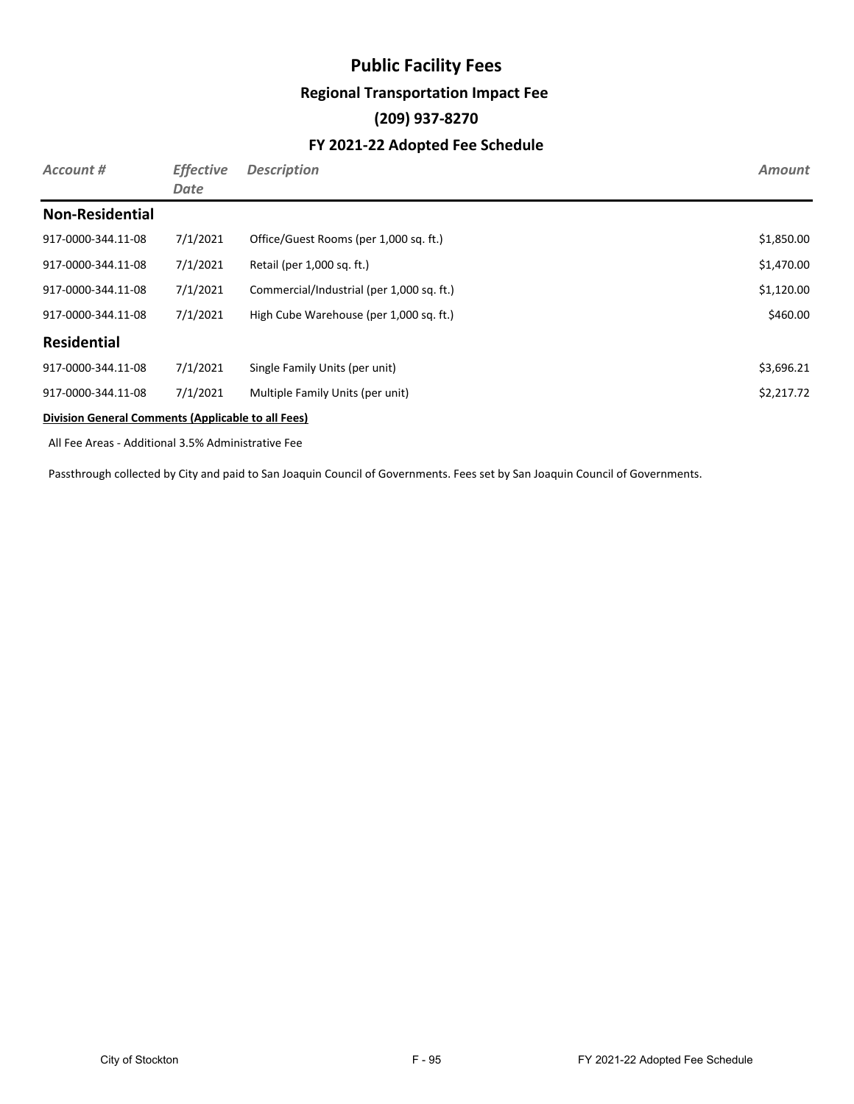## **Public Facility Fees Regional Transportation Impact Fee (209) 937-8270 FY 2021-22 Adopted Fee Schedule**

| Account #              | <b>Effective</b><br>Date | <b>Description</b>                        | <b>Amount</b> |
|------------------------|--------------------------|-------------------------------------------|---------------|
| <b>Non-Residential</b> |                          |                                           |               |
| 917-0000-344.11-08     | 7/1/2021                 | Office/Guest Rooms (per 1,000 sq. ft.)    | \$1,850.00    |
| 917-0000-344.11-08     | 7/1/2021                 | Retail (per 1,000 sq. ft.)                | \$1,470.00    |
| 917-0000-344.11-08     | 7/1/2021                 | Commercial/Industrial (per 1,000 sq. ft.) | \$1,120.00    |
| 917-0000-344.11-08     | 7/1/2021                 | High Cube Warehouse (per 1,000 sq. ft.)   | \$460.00      |
| <b>Residential</b>     |                          |                                           |               |
| 917-0000-344.11-08     | 7/1/2021                 | Single Family Units (per unit)            | \$3,696.21    |
| 917-0000-344.11-08     | 7/1/2021                 | Multiple Family Units (per unit)          | \$2,217.72    |
|                        |                          |                                           |               |

#### **Division General Comments (Applicable to all Fees)**

All Fee Areas - Additional 3.5% Administrative Fee

Passthrough collected by City and paid to San Joaquin Council of Governments. Fees set by San Joaquin Council of Governments.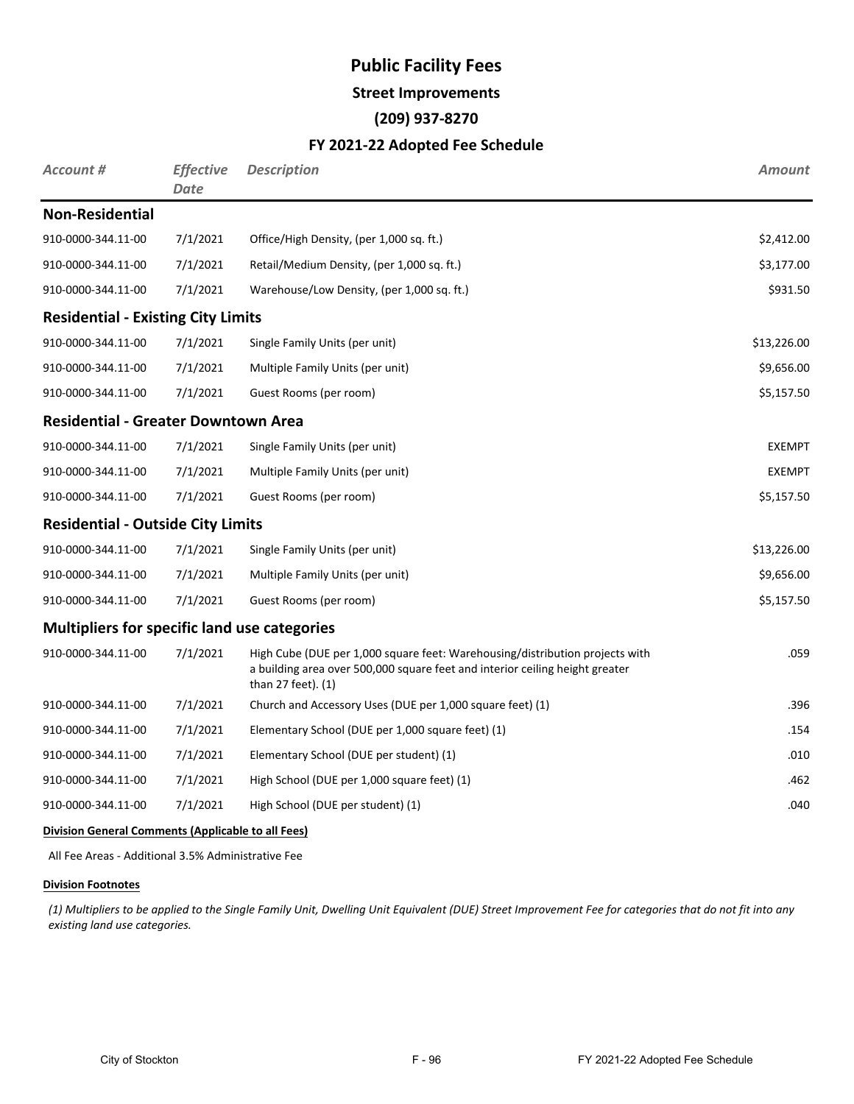#### **Street Improvements**

#### **(209) 937-8270**

#### **FY 2021-22 Adopted Fee Schedule**

| Account #                                           | <b>Effective</b><br><b>Date</b> | <b>Description</b>                                                                                                                                                                 | <b>Amount</b> |
|-----------------------------------------------------|---------------------------------|------------------------------------------------------------------------------------------------------------------------------------------------------------------------------------|---------------|
| <b>Non-Residential</b>                              |                                 |                                                                                                                                                                                    |               |
| 910-0000-344.11-00                                  | 7/1/2021                        | Office/High Density, (per 1,000 sq. ft.)                                                                                                                                           | \$2,412.00    |
| 910-0000-344.11-00                                  | 7/1/2021                        | Retail/Medium Density, (per 1,000 sq. ft.)                                                                                                                                         | \$3,177.00    |
| 910-0000-344.11-00                                  | 7/1/2021                        | Warehouse/Low Density, (per 1,000 sq. ft.)                                                                                                                                         | \$931.50      |
| <b>Residential - Existing City Limits</b>           |                                 |                                                                                                                                                                                    |               |
| 910-0000-344.11-00                                  | 7/1/2021                        | Single Family Units (per unit)                                                                                                                                                     | \$13,226.00   |
| 910-0000-344.11-00                                  | 7/1/2021                        | Multiple Family Units (per unit)                                                                                                                                                   | \$9,656.00    |
| 910-0000-344.11-00                                  | 7/1/2021                        | Guest Rooms (per room)                                                                                                                                                             | \$5,157.50    |
| <b>Residential - Greater Downtown Area</b>          |                                 |                                                                                                                                                                                    |               |
| 910-0000-344.11-00                                  | 7/1/2021                        | Single Family Units (per unit)                                                                                                                                                     | <b>EXEMPT</b> |
| 910-0000-344.11-00                                  | 7/1/2021                        | Multiple Family Units (per unit)                                                                                                                                                   | <b>EXEMPT</b> |
| 910-0000-344.11-00                                  | 7/1/2021                        | Guest Rooms (per room)                                                                                                                                                             | \$5,157.50    |
| <b>Residential - Outside City Limits</b>            |                                 |                                                                                                                                                                                    |               |
| 910-0000-344.11-00                                  | 7/1/2021                        | Single Family Units (per unit)                                                                                                                                                     | \$13,226.00   |
| 910-0000-344.11-00                                  | 7/1/2021                        | Multiple Family Units (per unit)                                                                                                                                                   | \$9,656.00    |
| 910-0000-344.11-00                                  | 7/1/2021                        | Guest Rooms (per room)                                                                                                                                                             | \$5,157.50    |
| <b>Multipliers for specific land use categories</b> |                                 |                                                                                                                                                                                    |               |
| 910-0000-344.11-00                                  | 7/1/2021                        | High Cube (DUE per 1,000 square feet: Warehousing/distribution projects with<br>a building area over 500,000 square feet and interior ceiling height greater<br>than 27 feet). (1) | .059          |
| 910-0000-344.11-00                                  | 7/1/2021                        | Church and Accessory Uses (DUE per 1,000 square feet) (1)                                                                                                                          | .396          |
| 910-0000-344.11-00                                  | 7/1/2021                        | Elementary School (DUE per 1,000 square feet) (1)                                                                                                                                  | .154          |
| 910-0000-344.11-00                                  | 7/1/2021                        | Elementary School (DUE per student) (1)                                                                                                                                            | .010          |
| 910-0000-344.11-00                                  | 7/1/2021                        | High School (DUE per 1,000 square feet) (1)                                                                                                                                        | .462          |
| 910-0000-344.11-00                                  | 7/1/2021                        | High School (DUE per student) (1)                                                                                                                                                  | .040          |

#### **Division General Comments (Applicable to all Fees)**

All Fee Areas - Additional 3.5% Administrative Fee

#### **Division Footnotes**

*(1) Multipliers to be applied to the Single Family Unit, Dwelling Unit Equivalent (DUE) Street Improvement Fee for categories that do not fit into any existing land use categories.*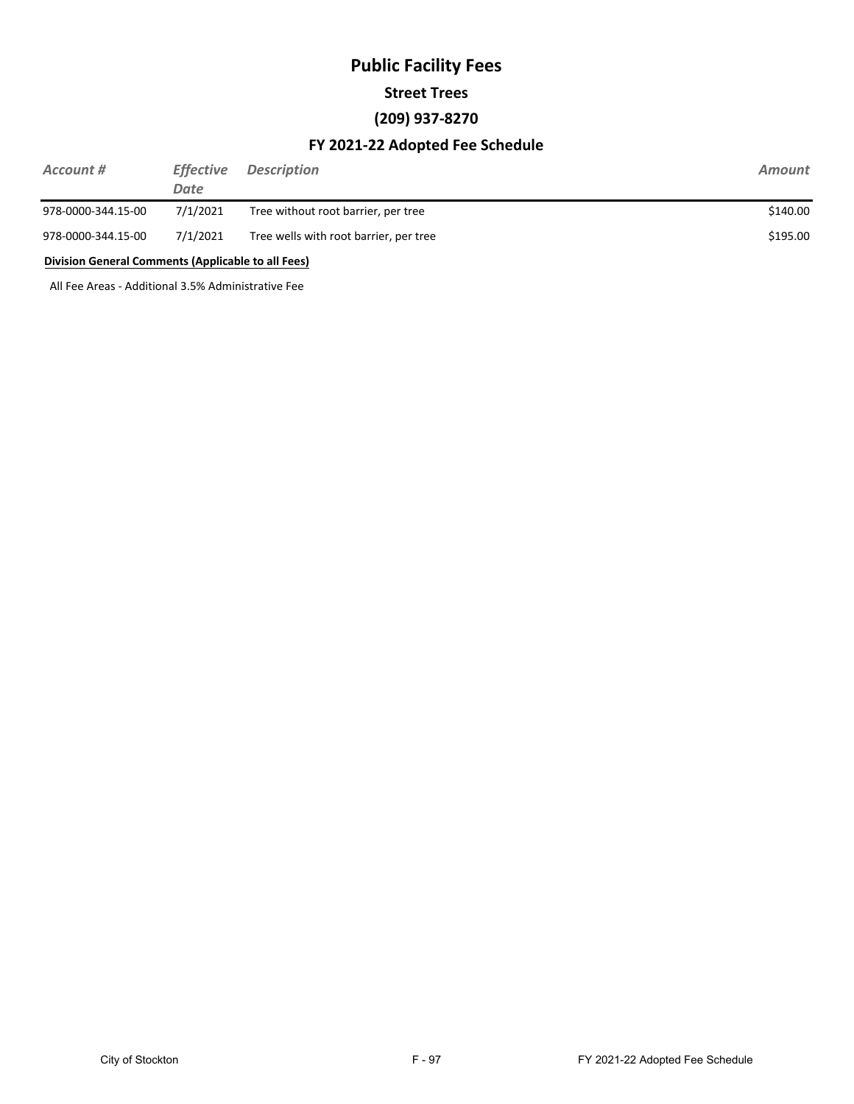# **Public Facility Fees Street Trees (209) 937-8270**

#### **FY 2021-22 Adopted Fee Schedule**

| Account #                                          | <b>Effective</b><br>Date | <b>Description</b>                     | Amount   |
|----------------------------------------------------|--------------------------|----------------------------------------|----------|
| 978-0000-344.15-00                                 | 7/1/2021                 | Tree without root barrier, per tree    | \$140.00 |
| 978-0000-344.15-00                                 | 7/1/2021                 | Tree wells with root barrier, per tree | \$195.00 |
| Division General Comments (Applicable to all Fees) |                          |                                        |          |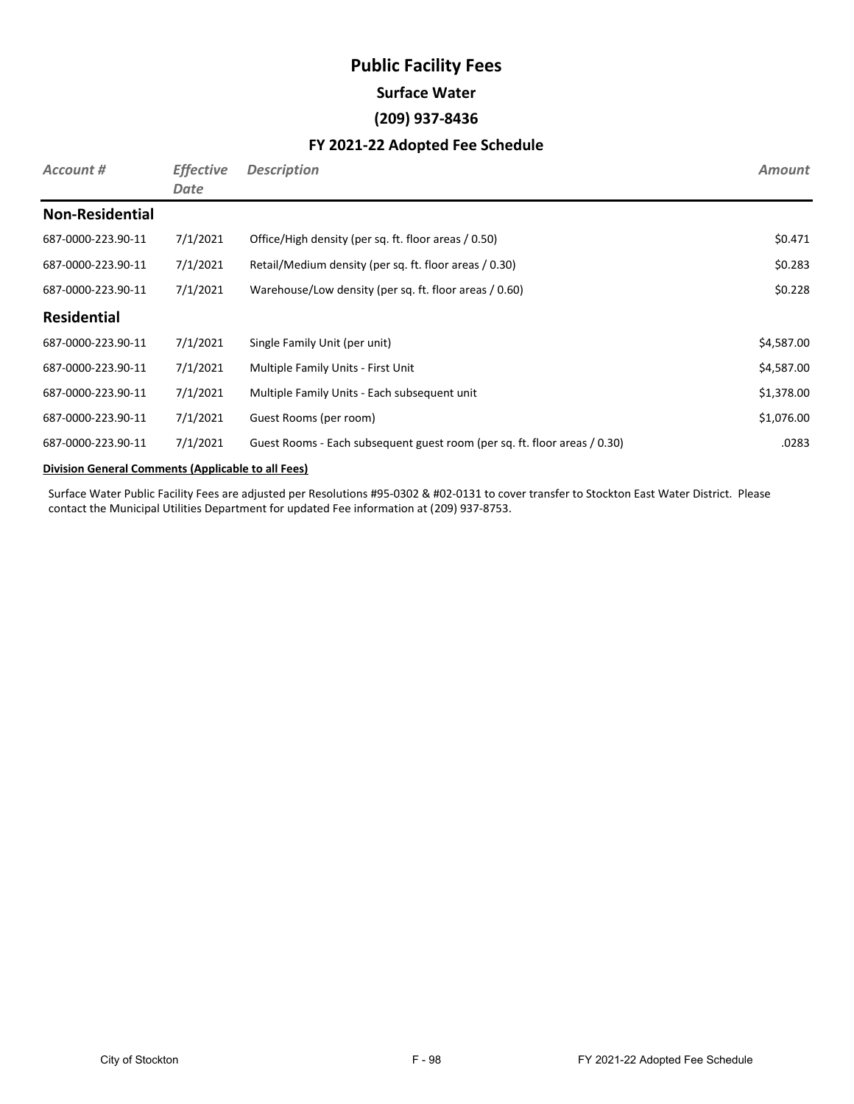# **Public Facility Fees Surface Water (209) 937-8436**

#### **FY 2021-22 Adopted Fee Schedule**

| Account #              | <b>Effective</b><br>Date | <b>Description</b>                                                        | <b>Amount</b> |
|------------------------|--------------------------|---------------------------------------------------------------------------|---------------|
| <b>Non-Residential</b> |                          |                                                                           |               |
| 687-0000-223.90-11     | 7/1/2021                 | Office/High density (per sq. ft. floor areas / 0.50)                      | \$0.471       |
| 687-0000-223.90-11     | 7/1/2021                 | Retail/Medium density (per sq. ft. floor areas / 0.30)                    | \$0.283       |
| 687-0000-223.90-11     | 7/1/2021                 | Warehouse/Low density (per sq. ft. floor areas / 0.60)                    | \$0.228       |
| <b>Residential</b>     |                          |                                                                           |               |
| 687-0000-223.90-11     | 7/1/2021                 | Single Family Unit (per unit)                                             | \$4,587.00    |
| 687-0000-223.90-11     | 7/1/2021                 | Multiple Family Units - First Unit                                        | \$4,587.00    |
| 687-0000-223.90-11     | 7/1/2021                 | Multiple Family Units - Each subsequent unit                              | \$1,378.00    |
| 687-0000-223.90-11     | 7/1/2021                 | Guest Rooms (per room)                                                    | \$1,076.00    |
| 687-0000-223.90-11     | 7/1/2021                 | Guest Rooms - Each subsequent guest room (per sq. ft. floor areas / 0.30) | .0283         |

#### **Division General Comments (Applicable to all Fees)**

Surface Water Public Facility Fees are adjusted per Resolutions #95-0302 & #02-0131 to cover transfer to Stockton East Water District. Please contact the Municipal Utilities Department for updated Fee information at (209) 937-8753.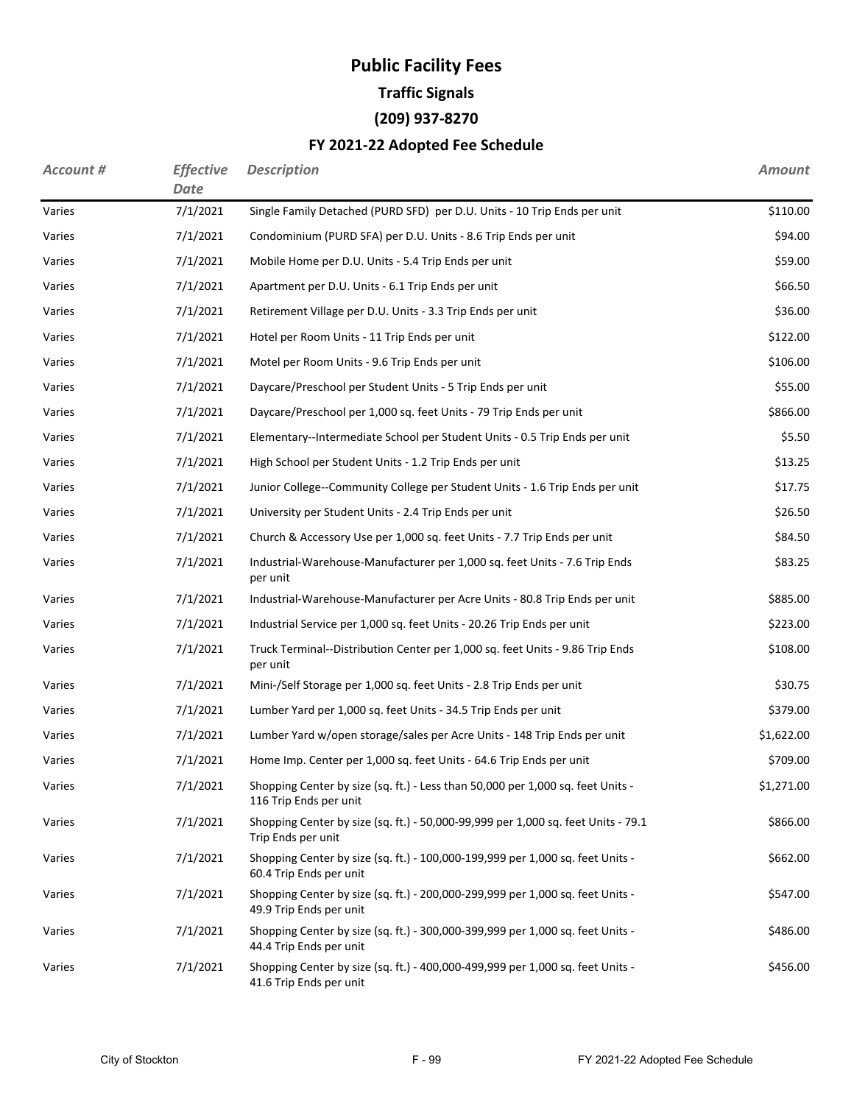# **Public Facility Fees Traffic Signals (209) 937-8270**

### **FY 2021-22 Adopted Fee Schedule**

| <b>Account #</b> | <b>Effective</b><br><b>Date</b> | <b>Description</b>                                                                                        | <b>Amount</b> |
|------------------|---------------------------------|-----------------------------------------------------------------------------------------------------------|---------------|
| Varies           | 7/1/2021                        | Single Family Detached (PURD SFD) per D.U. Units - 10 Trip Ends per unit                                  | \$110.00      |
| Varies           | 7/1/2021                        | Condominium (PURD SFA) per D.U. Units - 8.6 Trip Ends per unit                                            | \$94.00       |
| Varies           | 7/1/2021                        | Mobile Home per D.U. Units - 5.4 Trip Ends per unit                                                       | \$59.00       |
| Varies           | 7/1/2021                        | Apartment per D.U. Units - 6.1 Trip Ends per unit                                                         | \$66.50       |
| Varies           | 7/1/2021                        | Retirement Village per D.U. Units - 3.3 Trip Ends per unit                                                | \$36.00       |
| Varies           | 7/1/2021                        | Hotel per Room Units - 11 Trip Ends per unit                                                              | \$122.00      |
| Varies           | 7/1/2021                        | Motel per Room Units - 9.6 Trip Ends per unit                                                             | \$106.00      |
| Varies           | 7/1/2021                        | Daycare/Preschool per Student Units - 5 Trip Ends per unit                                                | \$55.00       |
| Varies           | 7/1/2021                        | Daycare/Preschool per 1,000 sq. feet Units - 79 Trip Ends per unit                                        | \$866.00      |
| Varies           | 7/1/2021                        | Elementary--Intermediate School per Student Units - 0.5 Trip Ends per unit                                | \$5.50        |
| Varies           | 7/1/2021                        | High School per Student Units - 1.2 Trip Ends per unit                                                    | \$13.25       |
| Varies           | 7/1/2021                        | Junior College--Community College per Student Units - 1.6 Trip Ends per unit                              | \$17.75       |
| Varies           | 7/1/2021                        | University per Student Units - 2.4 Trip Ends per unit                                                     | \$26.50       |
| Varies           | 7/1/2021                        | Church & Accessory Use per 1,000 sq. feet Units - 7.7 Trip Ends per unit                                  | \$84.50       |
| Varies           | 7/1/2021                        | Industrial-Warehouse-Manufacturer per 1,000 sq. feet Units - 7.6 Trip Ends<br>per unit                    | \$83.25       |
| Varies           | 7/1/2021                        | Industrial-Warehouse-Manufacturer per Acre Units - 80.8 Trip Ends per unit                                | \$885.00      |
| Varies           | 7/1/2021                        | Industrial Service per 1,000 sq. feet Units - 20.26 Trip Ends per unit                                    | \$223.00      |
| Varies           | 7/1/2021                        | Truck Terminal--Distribution Center per 1,000 sq. feet Units - 9.86 Trip Ends<br>per unit                 | \$108.00      |
| Varies           | 7/1/2021                        | Mini-/Self Storage per 1,000 sq. feet Units - 2.8 Trip Ends per unit                                      | \$30.75       |
| Varies           | 7/1/2021                        | Lumber Yard per 1,000 sq. feet Units - 34.5 Trip Ends per unit                                            | \$379.00      |
| Varies           | 7/1/2021                        | Lumber Yard w/open storage/sales per Acre Units - 148 Trip Ends per unit                                  | \$1,622.00    |
| Varies           | 7/1/2021                        | Home Imp. Center per 1,000 sq. feet Units - 64.6 Trip Ends per unit                                       | \$709.00      |
| Varies           | 7/1/2021                        | Shopping Center by size (sq. ft.) - Less than 50,000 per 1,000 sq. feet Units -<br>116 Trip Ends per unit | \$1,271.00    |
| Varies           | 7/1/2021                        | Shopping Center by size (sq. ft.) - 50,000-99,999 per 1,000 sq. feet Units - 79.1<br>Trip Ends per unit   | \$866.00      |
| Varies           | 7/1/2021                        | Shopping Center by size (sq. ft.) - 100,000-199,999 per 1,000 sq. feet Units -<br>60.4 Trip Ends per unit | \$662.00      |
| Varies           | 7/1/2021                        | Shopping Center by size (sq. ft.) - 200,000-299,999 per 1,000 sq. feet Units -<br>49.9 Trip Ends per unit | \$547.00      |
| Varies           | 7/1/2021                        | Shopping Center by size (sq. ft.) - 300,000-399,999 per 1,000 sq. feet Units -<br>44.4 Trip Ends per unit | \$486.00      |
| Varies           | 7/1/2021                        | Shopping Center by size (sq. ft.) - 400,000-499,999 per 1,000 sq. feet Units -<br>41.6 Trip Ends per unit | \$456.00      |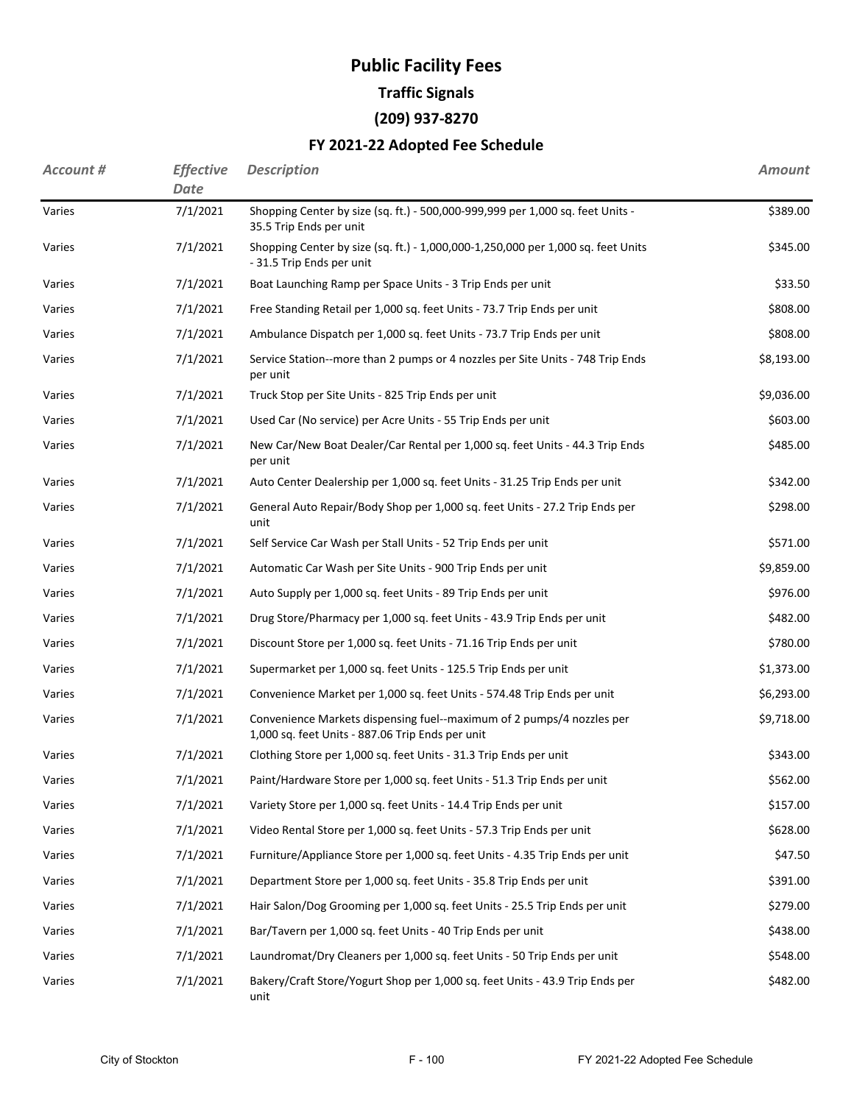## **Public Facility Fees Traffic Signals**

**(209) 937-8270**

### **FY 2021-22 Adopted Fee Schedule**

| <b>Account #</b> | <b>Effective</b><br>Date | <b>Description</b>                                                                                                        | <b>Amount</b> |
|------------------|--------------------------|---------------------------------------------------------------------------------------------------------------------------|---------------|
| Varies           | 7/1/2021                 | Shopping Center by size (sq. ft.) - 500,000-999,999 per 1,000 sq. feet Units -<br>35.5 Trip Ends per unit                 | \$389.00      |
| Varies           | 7/1/2021                 | Shopping Center by size (sq. ft.) - 1,000,000-1,250,000 per 1,000 sq. feet Units<br>- 31.5 Trip Ends per unit             | \$345.00      |
| Varies           | 7/1/2021                 | Boat Launching Ramp per Space Units - 3 Trip Ends per unit                                                                | \$33.50       |
| Varies           | 7/1/2021                 | Free Standing Retail per 1,000 sq. feet Units - 73.7 Trip Ends per unit                                                   | \$808.00      |
| Varies           | 7/1/2021                 | Ambulance Dispatch per 1,000 sq. feet Units - 73.7 Trip Ends per unit                                                     | \$808.00      |
| Varies           | 7/1/2021                 | Service Station--more than 2 pumps or 4 nozzles per Site Units - 748 Trip Ends<br>per unit                                | \$8,193.00    |
| Varies           | 7/1/2021                 | Truck Stop per Site Units - 825 Trip Ends per unit                                                                        | \$9,036.00    |
| Varies           | 7/1/2021                 | Used Car (No service) per Acre Units - 55 Trip Ends per unit                                                              | \$603.00      |
| Varies           | 7/1/2021                 | New Car/New Boat Dealer/Car Rental per 1,000 sq. feet Units - 44.3 Trip Ends<br>per unit                                  | \$485.00      |
| Varies           | 7/1/2021                 | Auto Center Dealership per 1,000 sq. feet Units - 31.25 Trip Ends per unit                                                | \$342.00      |
| Varies           | 7/1/2021                 | General Auto Repair/Body Shop per 1,000 sq. feet Units - 27.2 Trip Ends per<br>unit                                       | \$298.00      |
| Varies           | 7/1/2021                 | Self Service Car Wash per Stall Units - 52 Trip Ends per unit                                                             | \$571.00      |
| Varies           | 7/1/2021                 | Automatic Car Wash per Site Units - 900 Trip Ends per unit                                                                | \$9,859.00    |
| Varies           | 7/1/2021                 | Auto Supply per 1,000 sq. feet Units - 89 Trip Ends per unit                                                              | \$976.00      |
| Varies           | 7/1/2021                 | Drug Store/Pharmacy per 1,000 sq. feet Units - 43.9 Trip Ends per unit                                                    | \$482.00      |
| Varies           | 7/1/2021                 | Discount Store per 1,000 sq. feet Units - 71.16 Trip Ends per unit                                                        | \$780.00      |
| Varies           | 7/1/2021                 | Supermarket per 1,000 sq. feet Units - 125.5 Trip Ends per unit                                                           | \$1,373.00    |
| Varies           | 7/1/2021                 | Convenience Market per 1,000 sq. feet Units - 574.48 Trip Ends per unit                                                   | \$6,293.00    |
| Varies           | 7/1/2021                 | Convenience Markets dispensing fuel--maximum of 2 pumps/4 nozzles per<br>1,000 sq. feet Units - 887.06 Trip Ends per unit | \$9,718.00    |
| Varies           | 7/1/2021                 | Clothing Store per 1,000 sq. feet Units - 31.3 Trip Ends per unit                                                         | \$343.00      |
| Varies           | 7/1/2021                 | Paint/Hardware Store per 1,000 sq. feet Units - 51.3 Trip Ends per unit                                                   | \$562.00      |
| Varies           | 7/1/2021                 | Variety Store per 1,000 sq. feet Units - 14.4 Trip Ends per unit                                                          | \$157.00      |
| Varies           | 7/1/2021                 | Video Rental Store per 1,000 sq. feet Units - 57.3 Trip Ends per unit                                                     | \$628.00      |
| Varies           | 7/1/2021                 | Furniture/Appliance Store per 1,000 sq. feet Units - 4.35 Trip Ends per unit                                              | \$47.50       |
| Varies           | 7/1/2021                 | Department Store per 1,000 sq. feet Units - 35.8 Trip Ends per unit                                                       | \$391.00      |
| Varies           | 7/1/2021                 | Hair Salon/Dog Grooming per 1,000 sq. feet Units - 25.5 Trip Ends per unit                                                | \$279.00      |
| Varies           | 7/1/2021                 | Bar/Tavern per 1,000 sq. feet Units - 40 Trip Ends per unit                                                               | \$438.00      |
| Varies           | 7/1/2021                 | Laundromat/Dry Cleaners per 1,000 sq. feet Units - 50 Trip Ends per unit                                                  | \$548.00      |
| Varies           | 7/1/2021                 | Bakery/Craft Store/Yogurt Shop per 1,000 sq. feet Units - 43.9 Trip Ends per<br>unit                                      | \$482.00      |